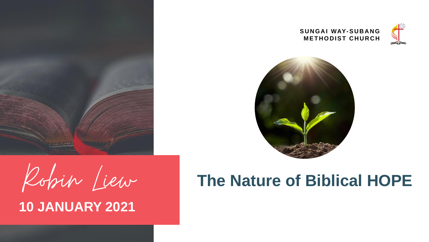

### **10 JANUARY 2021**

# Robin Liew **The Nature of Biblical HOPE**

### SUNGAI WAY-SUBANG **METHODIST CHURCH**



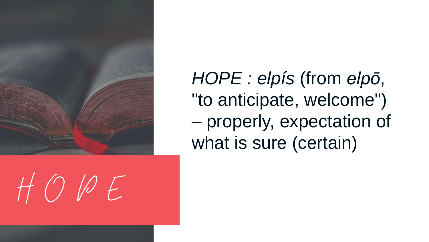

# $H O P E$

HOPE : elpís (from elpō, "to anticipate, welcome") - properly, expectation of what is sure (certain)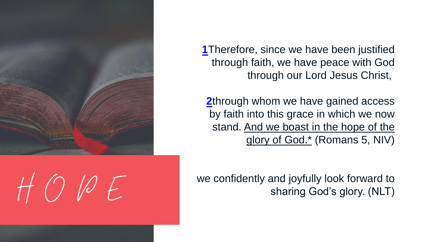

 $H O P E$ 

**[1](http://biblehub.com/romans/5-1.htm)**Therefore, since we have been justified through faith, we have peace with God through our Lord Jesus Christ,

**[2](http://biblehub.com/romans/5-2.htm)**through whom we have gained access by faith into this grace in which we now stand. And we boast in the hope of the glory of God.\* (Romans 5, NIV)

we confidently and joyfully look forward to sharing God's glory. (NLT)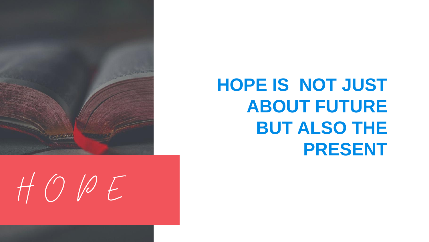

## **HOPE IS NOT JUST ABOUT FUTURE BUT ALSO THE PRESENT**

 $H O P E$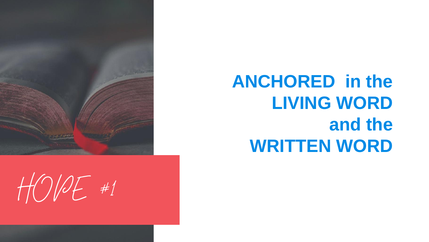

 $HOPF$ #1



## **ANCHORED in the LIVING WORD and the WRITTEN WORD**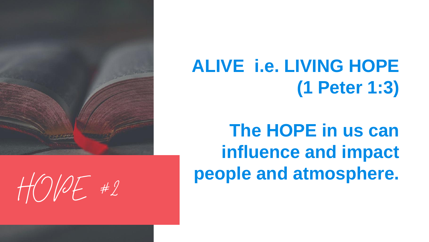

 $HOPH2$ 

**ALIVE i.e. LIVING HOPE (1 Peter 1:3)** 

**The HOPE in us can influence and impact people and atmosphere.**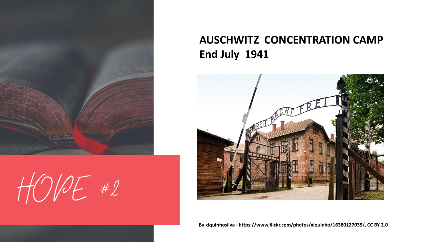

 $H\ddot{\Omega}/2F$  #2

**By xiquinhosilva - https://www.flickr.com/photos/xiquinho/16380127035/, CC BY 2.0**

### **AUSCHWITZ CONCENTRATION CAMP End July 1941**

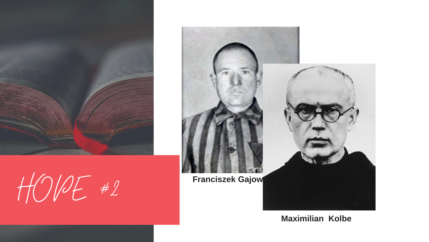

 $HOPE$  #2 **Franciszek Gajow** 



### **Maximilian Kolbe**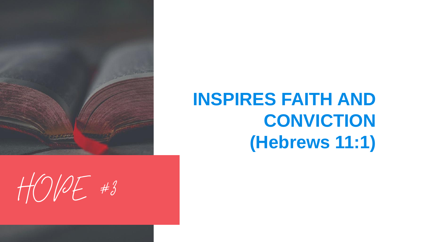

## **INSPIRES FAITH AND CONVICTION (Hebrews 11:1)**

 $HODE$ #3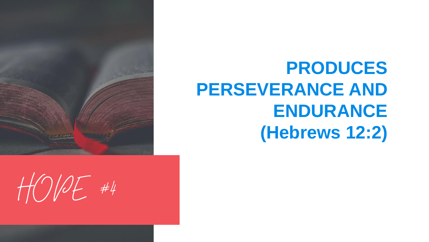

 $HOP#4$ 

**PRODUCES PERSEVERANCE AND ENDURANCE (Hebrews 12:2)**